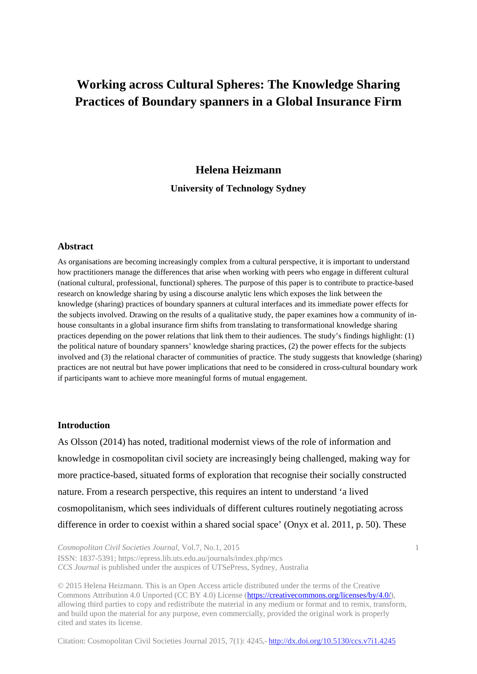# **Working across Cultural Spheres: The Knowledge Sharing Practices of Boundary spanners in a Global Insurance Firm**

## **Helena Heizmann**

#### **University of Technology Sydney**

#### **Abstract**

As organisations are becoming increasingly complex from a cultural perspective, it is important to understand how practitioners manage the differences that arise when working with peers who engage in different cultural (national cultural, professional, functional) spheres. The purpose of this paper is to contribute to practice-based research on knowledge sharing by using a discourse analytic lens which exposes the link between the knowledge (sharing) practices of boundary spanners at cultural interfaces and its immediate power effects for the subjects involved. Drawing on the results of a qualitative study, the paper examines how a community of inhouse consultants in a global insurance firm shifts from translating to transformational knowledge sharing practices depending on the power relations that link them to their audiences. The study's findings highlight: (1) the political nature of boundary spanners' knowledge sharing practices, (2) the power effects for the subjects involved and (3) the relational character of communities of practice. The study suggests that knowledge (sharing) practices are not neutral but have power implications that need to be considered in cross-cultural boundary work if participants want to achieve more meaningful forms of mutual engagement.

### **Introduction**

As Olsson (2014) has noted, traditional modernist views of the role of information and knowledge in cosmopolitan civil society are increasingly being challenged, making way for more practice-based, situated forms of exploration that recognise their socially constructed nature. From a research perspective, this requires an intent to understand 'a lived cosmopolitanism, which sees individuals of different cultures routinely negotiating across difference in order to coexist within a shared social space' (Onyx et al. 2011, p. 50). These

*Cosmopolitan Civil Societies Journal*, Vol.7, No.1, 2015 1 ISSN: 1837-5391; https://epress.lib.uts.edu.au/journals/index.php/mcs *CCS Journal* is published under the auspices of UTSePress, Sydney, Australia

© 2015 Helena Heizmann. This is an Open Access article distributed under the terms of the Creative Commons Attribution 4.0 Unported (CC BY 4.0) License [\(https://creativecommons.org/licenses/by/4.0/\)](https://creativecommons.org/licenses/by/4.0/), allowing third parties to copy and redistribute the material in any medium or format and to remix, transform, and build upon the material for any purpose, even commercially, provided the original work is properly cited and states its license.

Citation: Cosmopolitan Civil Societies Journal 2015, 7(1): 4245 - http://dx.doi.org/10.5130/ccs.v7i1.4245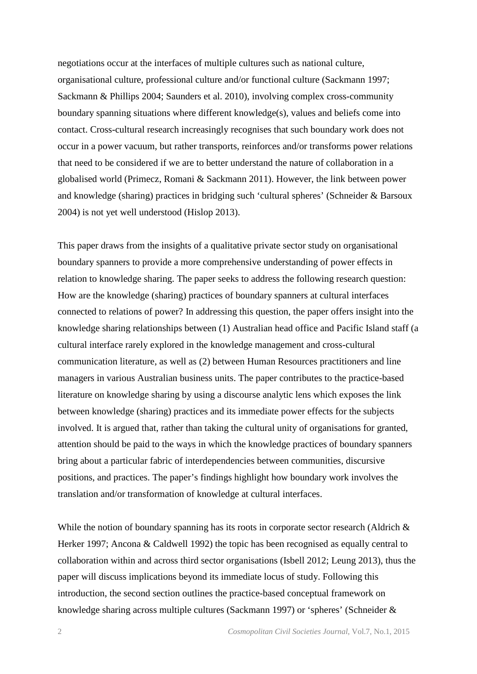negotiations occur at the interfaces of multiple cultures such as national culture, organisational culture, professional culture and/or functional culture (Sackmann 1997; Sackmann & Phillips 2004; Saunders et al. 2010), involving complex cross-community boundary spanning situations where different knowledge(s), values and beliefs come into contact. Cross-cultural research increasingly recognises that such boundary work does not occur in a power vacuum, but rather transports, reinforces and/or transforms power relations that need to be considered if we are to better understand the nature of collaboration in a globalised world (Primecz, Romani & Sackmann 2011). However, the link between power and knowledge (sharing) practices in bridging such 'cultural spheres' (Schneider & Barsoux 2004) is not yet well understood (Hislop 2013).

This paper draws from the insights of a qualitative private sector study on organisational boundary spanners to provide a more comprehensive understanding of power effects in relation to knowledge sharing. The paper seeks to address the following research question: How are the knowledge (sharing) practices of boundary spanners at cultural interfaces connected to relations of power? In addressing this question, the paper offers insight into the knowledge sharing relationships between (1) Australian head office and Pacific Island staff (a cultural interface rarely explored in the knowledge management and cross-cultural communication literature, as well as (2) between Human Resources practitioners and line managers in various Australian business units. The paper contributes to the practice-based literature on knowledge sharing by using a discourse analytic lens which exposes the link between knowledge (sharing) practices and its immediate power effects for the subjects involved. It is argued that, rather than taking the cultural unity of organisations for granted, attention should be paid to the ways in which the knowledge practices of boundary spanners bring about a particular fabric of interdependencies between communities, discursive positions, and practices. The paper's findings highlight how boundary work involves the translation and/or transformation of knowledge at cultural interfaces.

While the notion of boundary spanning has its roots in corporate sector research (Aldrich & Herker 1997; Ancona & Caldwell 1992) the topic has been recognised as equally central to collaboration within and across third sector organisations (Isbell 2012; Leung 2013), thus the paper will discuss implications beyond its immediate locus of study. Following this introduction, the second section outlines the practice-based conceptual framework on knowledge sharing across multiple cultures (Sackmann 1997) or 'spheres' (Schneider &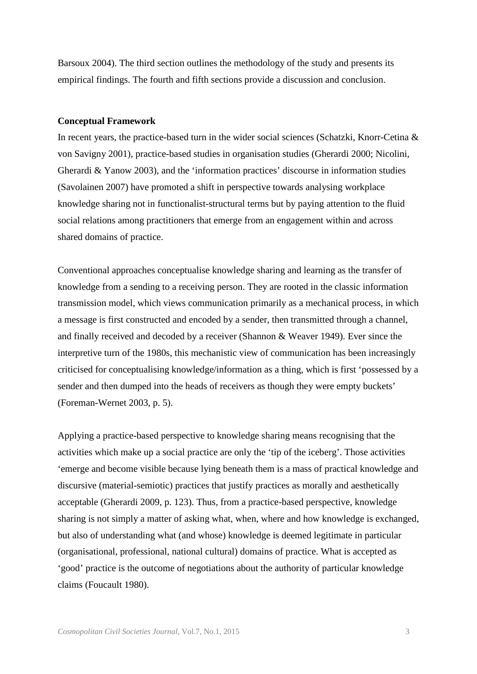Barsoux 2004). The third section outlines the methodology of the study and presents its empirical findings. The fourth and fifth sections provide a discussion and conclusion.

#### **Conceptual Framework**

In recent years, the practice-based turn in the wider social sciences (Schatzki, Knorr-Cetina  $\&$ von Savigny 2001), practice-based studies in organisation studies (Gherardi 2000; Nicolini, Gherardi & Yanow 2003), and the 'information practices' discourse in information studies (Savolainen 2007) have promoted a shift in perspective towards analysing workplace knowledge sharing not in functionalist-structural terms but by paying attention to the fluid social relations among practitioners that emerge from an engagement within and across shared domains of practice.

Conventional approaches conceptualise knowledge sharing and learning as the transfer of knowledge from a sending to a receiving person. They are rooted in the classic information transmission model, which views communication primarily as a mechanical process, in which a message is first constructed and encoded by a sender, then transmitted through a channel, and finally received and decoded by a receiver (Shannon & Weaver 1949). Ever since the interpretive turn of the 1980s, this mechanistic view of communication has been increasingly criticised for conceptualising knowledge/information as a thing, which is first 'possessed by a sender and then dumped into the heads of receivers as though they were empty buckets' (Foreman-Wernet 2003, p. 5).

Applying a practice-based perspective to knowledge sharing means recognising that the activities which make up a social practice are only the 'tip of the iceberg'. Those activities 'emerge and become visible because lying beneath them is a mass of practical knowledge and discursive (material-semiotic) practices that justify practices as morally and aesthetically acceptable (Gherardi 2009, p. 123). Thus, from a practice-based perspective, knowledge sharing is not simply a matter of asking what, when, where and how knowledge is exchanged, but also of understanding what (and whose) knowledge is deemed legitimate in particular (organisational, professional, national cultural) domains of practice. What is accepted as 'good' practice is the outcome of negotiations about the authority of particular knowledge claims (Foucault 1980).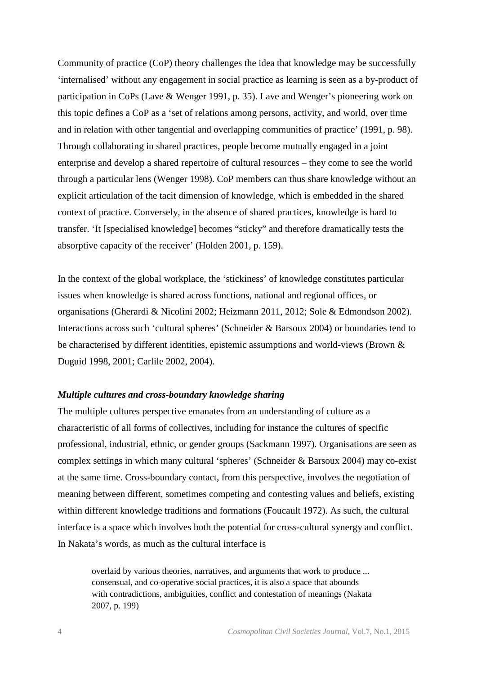Community of practice (CoP) theory challenges the idea that knowledge may be successfully 'internalised' without any engagement in social practice as learning is seen as a by-product of participation in CoPs (Lave & Wenger 1991, p. 35). Lave and Wenger's pioneering work on this topic defines a CoP as a 'set of relations among persons, activity, and world, over time and in relation with other tangential and overlapping communities of practice' (1991, p. 98). Through collaborating in shared practices, people become mutually engaged in a joint enterprise and develop a shared repertoire of cultural resources – they come to see the world through a particular lens (Wenger 1998). CoP members can thus share knowledge without an explicit articulation of the tacit dimension of knowledge, which is embedded in the shared context of practice. Conversely, in the absence of shared practices, knowledge is hard to transfer. 'It [specialised knowledge] becomes "sticky" and therefore dramatically tests the absorptive capacity of the receiver' (Holden 2001, p. 159).

In the context of the global workplace, the 'stickiness' of knowledge constitutes particular issues when knowledge is shared across functions, national and regional offices, or organisations (Gherardi & Nicolini 2002; Heizmann 2011, 2012; Sole & Edmondson 2002). Interactions across such 'cultural spheres' (Schneider & Barsoux 2004) or boundaries tend to be characterised by different identities, epistemic assumptions and world-views (Brown & Duguid 1998, 2001; Carlile 2002, 2004).

#### *Multiple cultures and cross-boundary knowledge sharing*

The multiple cultures perspective emanates from an understanding of culture as a characteristic of all forms of collectives, including for instance the cultures of specific professional, industrial, ethnic, or gender groups (Sackmann 1997). Organisations are seen as complex settings in which many cultural 'spheres' (Schneider & Barsoux 2004) may co-exist at the same time. Cross-boundary contact, from this perspective, involves the negotiation of meaning between different, sometimes competing and contesting values and beliefs, existing within different knowledge traditions and formations (Foucault 1972). As such, the cultural interface is a space which involves both the potential for cross-cultural synergy and conflict. In Nakata's words, as much as the cultural interface is

overlaid by various theories, narratives, and arguments that work to produce ... consensual, and co-operative social practices, it is also a space that abounds with contradictions, ambiguities, conflict and contestation of meanings (Nakata 2007, p. 199)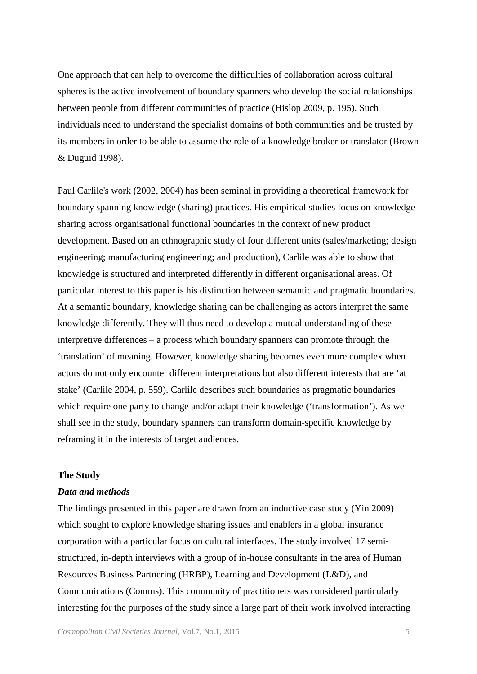One approach that can help to overcome the difficulties of collaboration across cultural spheres is the active involvement of boundary spanners who develop the social relationships between people from different communities of practice (Hislop 2009, p. 195). Such individuals need to understand the specialist domains of both communities and be trusted by its members in order to be able to assume the role of a knowledge broker or translator (Brown & Duguid 1998).

Paul Carlile's work (2002, 2004) has been seminal in providing a theoretical framework for boundary spanning knowledge (sharing) practices. His empirical studies focus on knowledge sharing across organisational functional boundaries in the context of new product development. Based on an ethnographic study of four different units (sales/marketing; design engineering; manufacturing engineering; and production), Carlile was able to show that knowledge is structured and interpreted differently in different organisational areas. Of particular interest to this paper is his distinction between semantic and pragmatic boundaries. At a semantic boundary, knowledge sharing can be challenging as actors interpret the same knowledge differently. They will thus need to develop a mutual understanding of these interpretive differences – a process which boundary spanners can promote through the 'translation' of meaning. However, knowledge sharing becomes even more complex when actors do not only encounter different interpretations but also different interests that are 'at stake' (Carlile 2004, p. 559). Carlile describes such boundaries as pragmatic boundaries which require one party to change and/or adapt their knowledge ('transformation'). As we shall see in the study, boundary spanners can transform domain-specific knowledge by reframing it in the interests of target audiences.

#### **The Study**

#### *Data and methods*

The findings presented in this paper are drawn from an inductive case study (Yin 2009) which sought to explore knowledge sharing issues and enablers in a global insurance corporation with a particular focus on cultural interfaces. The study involved 17 semistructured, in-depth interviews with a group of in-house consultants in the area of Human Resources Business Partnering (HRBP), Learning and Development (L&D), and Communications (Comms). This community of practitioners was considered particularly interesting for the purposes of the study since a large part of their work involved interacting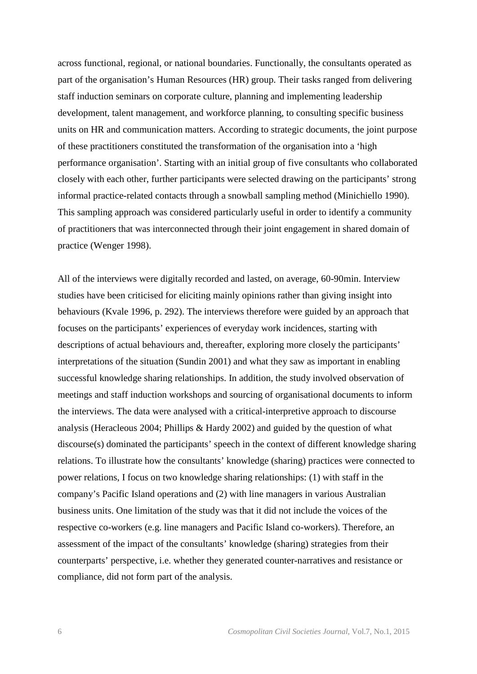across functional, regional, or national boundaries. Functionally, the consultants operated as part of the organisation's Human Resources (HR) group. Their tasks ranged from delivering staff induction seminars on corporate culture, planning and implementing leadership development, talent management, and workforce planning, to consulting specific business units on HR and communication matters. According to strategic documents, the joint purpose of these practitioners constituted the transformation of the organisation into a 'high performance organisation'. Starting with an initial group of five consultants who collaborated closely with each other, further participants were selected drawing on the participants' strong informal practice-related contacts through a snowball sampling method (Minichiello 1990). This sampling approach was considered particularly useful in order to identify a community of practitioners that was interconnected through their joint engagement in shared domain of practice (Wenger 1998).

All of the interviews were digitally recorded and lasted, on average, 60-90min. Interview studies have been criticised for eliciting mainly opinions rather than giving insight into behaviours (Kvale 1996, p. 292). The interviews therefore were guided by an approach that focuses on the participants' experiences of everyday work incidences, starting with descriptions of actual behaviours and, thereafter, exploring more closely the participants' interpretations of the situation (Sundin 2001) and what they saw as important in enabling successful knowledge sharing relationships. In addition, the study involved observation of meetings and staff induction workshops and sourcing of organisational documents to inform the interviews. The data were analysed with a critical-interpretive approach to discourse analysis (Heracleous 2004; Phillips & Hardy 2002) and guided by the question of what discourse(s) dominated the participants' speech in the context of different knowledge sharing relations. To illustrate how the consultants' knowledge (sharing) practices were connected to power relations, I focus on two knowledge sharing relationships: (1) with staff in the company's Pacific Island operations and (2) with line managers in various Australian business units. One limitation of the study was that it did not include the voices of the respective co-workers (e.g. line managers and Pacific Island co-workers). Therefore, an assessment of the impact of the consultants' knowledge (sharing) strategies from their counterparts' perspective, i.e. whether they generated counter-narratives and resistance or compliance, did not form part of the analysis.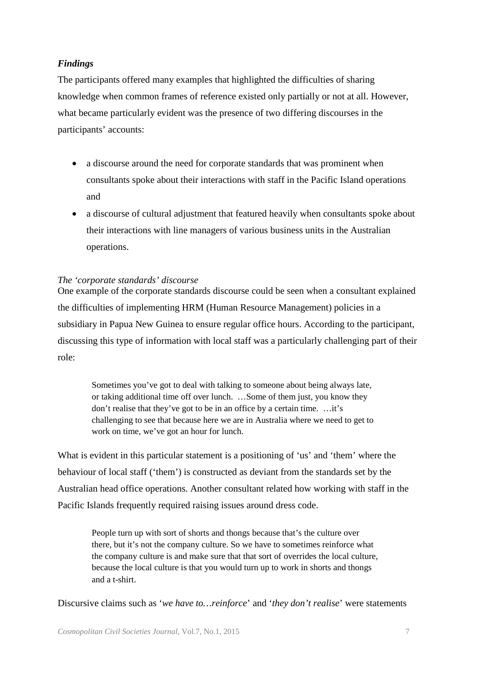## *Findings*

The participants offered many examples that highlighted the difficulties of sharing knowledge when common frames of reference existed only partially or not at all. However, what became particularly evident was the presence of two differing discourses in the participants' accounts:

- a discourse around the need for corporate standards that was prominent when consultants spoke about their interactions with staff in the Pacific Island operations and
- a discourse of cultural adjustment that featured heavily when consultants spoke about their interactions with line managers of various business units in the Australian operations.

## *The 'corporate standards' discourse*

One example of the corporate standards discourse could be seen when a consultant explained the difficulties of implementing HRM (Human Resource Management) policies in a subsidiary in Papua New Guinea to ensure regular office hours. According to the participant, discussing this type of information with local staff was a particularly challenging part of their role:

Sometimes you've got to deal with talking to someone about being always late, or taking additional time off over lunch. …Some of them just, you know they don't realise that they've got to be in an office by a certain time. …it's challenging to see that because here we are in Australia where we need to get to work on time, we've got an hour for lunch.

What is evident in this particular statement is a positioning of 'us' and 'them' where the behaviour of local staff ('them') is constructed as deviant from the standards set by the Australian head office operations. Another consultant related how working with staff in the Pacific Islands frequently required raising issues around dress code.

People turn up with sort of shorts and thongs because that's the culture over there, but it's not the company culture. So we have to sometimes reinforce what the company culture is and make sure that that sort of overrides the local culture, because the local culture is that you would turn up to work in shorts and thongs and a t-shirt.

Discursive claims such as '*we have to…reinforce*' and '*they don't realise*' were statements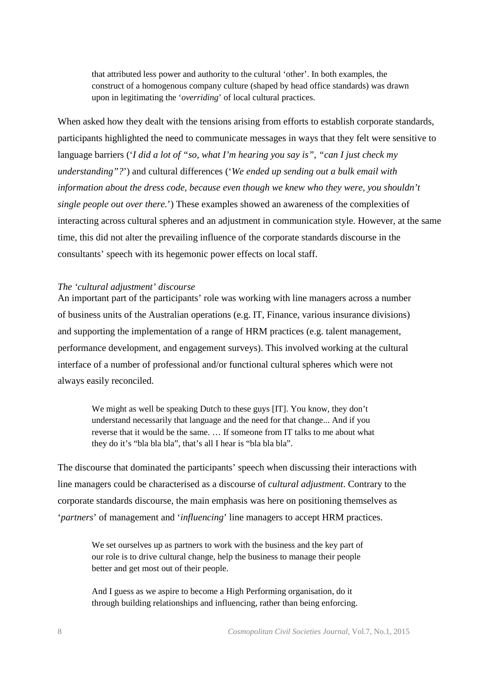that attributed less power and authority to the cultural 'other'. In both examples, the construct of a homogenous company culture (shaped by head office standards) was drawn upon in legitimating the '*overriding*' of local cultural practices.

When asked how they dealt with the tensions arising from efforts to establish corporate standards, participants highlighted the need to communicate messages in ways that they felt were sensitive to language barriers ('*I did a lot of "so, what I'm hearing you say is", "can I just check my understanding"?*') and cultural differences ('*We ended up sending out a bulk email with information about the dress code, because even though we knew who they were, you shouldn't single people out over there.*') These examples showed an awareness of the complexities of interacting across cultural spheres and an adjustment in communication style. However, at the same time, this did not alter the prevailing influence of the corporate standards discourse in the consultants' speech with its hegemonic power effects on local staff.

#### *The 'cultural adjustment' discourse*

An important part of the participants' role was working with line managers across a number of business units of the Australian operations (e.g. IT, Finance, various insurance divisions) and supporting the implementation of a range of HRM practices (e.g. talent management, performance development, and engagement surveys). This involved working at the cultural interface of a number of professional and/or functional cultural spheres which were not always easily reconciled.

We might as well be speaking Dutch to these guys [IT]. You know, they don't understand necessarily that language and the need for that change... And if you reverse that it would be the same. … If someone from IT talks to me about what they do it's "bla bla bla", that's all I hear is "bla bla bla".

The discourse that dominated the participants' speech when discussing their interactions with line managers could be characterised as a discourse of *cultural adjustment*. Contrary to the corporate standards discourse, the main emphasis was here on positioning themselves as '*partners*' of management and '*influencing*' line managers to accept HRM practices.

We set ourselves up as partners to work with the business and the key part of our role is to drive cultural change, help the business to manage their people better and get most out of their people.

And I guess as we aspire to become a High Performing organisation, do it through building relationships and influencing, rather than being enforcing.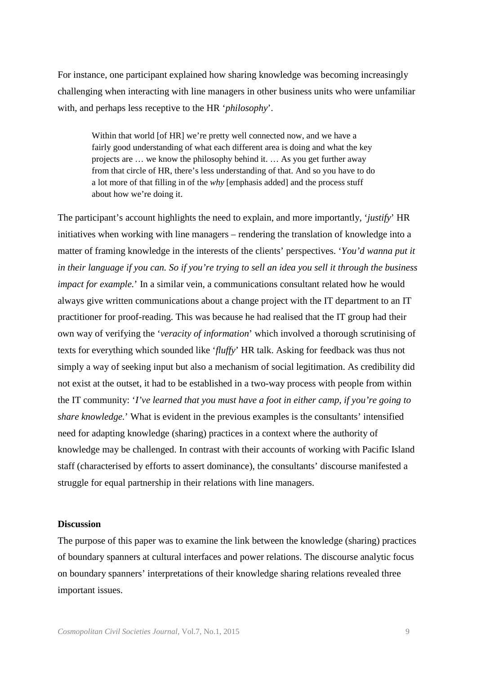For instance, one participant explained how sharing knowledge was becoming increasingly challenging when interacting with line managers in other business units who were unfamiliar with, and perhaps less receptive to the HR '*philosophy*'.

Within that world [of HR] we're pretty well connected now, and we have a fairly good understanding of what each different area is doing and what the key projects are … we know the philosophy behind it. … As you get further away from that circle of HR, there's less understanding of that. And so you have to do a lot more of that filling in of the *why* [emphasis added] and the process stuff about how we're doing it.

The participant's account highlights the need to explain, and more importantly, '*justify*' HR initiatives when working with line managers – rendering the translation of knowledge into a matter of framing knowledge in the interests of the clients' perspectives. '*You'd wanna put it in their language if you can. So if you're trying to sell an idea you sell it through the business impact for example.*' In a similar vein, a communications consultant related how he would always give written communications about a change project with the IT department to an IT practitioner for proof-reading. This was because he had realised that the IT group had their own way of verifying the '*veracity of information*' which involved a thorough scrutinising of texts for everything which sounded like '*fluffy*' HR talk. Asking for feedback was thus not simply a way of seeking input but also a mechanism of social legitimation. As credibility did not exist at the outset, it had to be established in a two-way process with people from within the IT community: '*I've learned that you must have a foot in either camp, if you're going to share knowledge.*' What is evident in the previous examples is the consultants' intensified need for adapting knowledge (sharing) practices in a context where the authority of knowledge may be challenged. In contrast with their accounts of working with Pacific Island staff (characterised by efforts to assert dominance), the consultants' discourse manifested a struggle for equal partnership in their relations with line managers.

### **Discussion**

The purpose of this paper was to examine the link between the knowledge (sharing) practices of boundary spanners at cultural interfaces and power relations. The discourse analytic focus on boundary spanners' interpretations of their knowledge sharing relations revealed three important issues.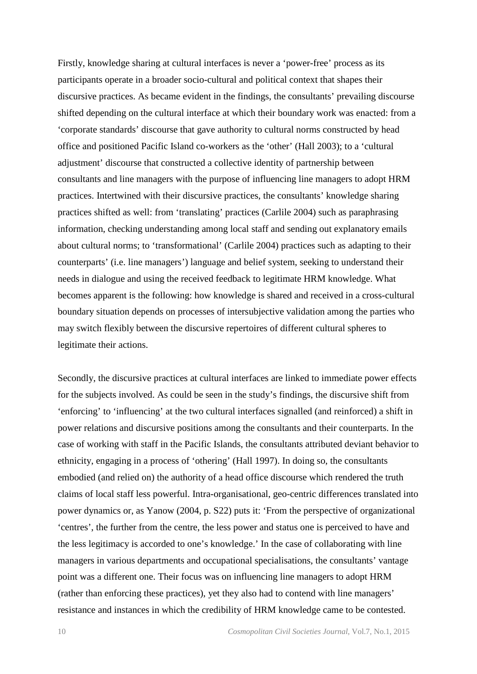Firstly, knowledge sharing at cultural interfaces is never a 'power-free' process as its participants operate in a broader socio-cultural and political context that shapes their discursive practices. As became evident in the findings, the consultants' prevailing discourse shifted depending on the cultural interface at which their boundary work was enacted: from a 'corporate standards' discourse that gave authority to cultural norms constructed by head office and positioned Pacific Island co-workers as the 'other' (Hall 2003); to a 'cultural adjustment' discourse that constructed a collective identity of partnership between consultants and line managers with the purpose of influencing line managers to adopt HRM practices. Intertwined with their discursive practices, the consultants' knowledge sharing practices shifted as well: from 'translating' practices (Carlile 2004) such as paraphrasing information, checking understanding among local staff and sending out explanatory emails about cultural norms; to 'transformational' (Carlile 2004) practices such as adapting to their counterparts' (i.e. line managers') language and belief system, seeking to understand their needs in dialogue and using the received feedback to legitimate HRM knowledge. What becomes apparent is the following: how knowledge is shared and received in a cross-cultural boundary situation depends on processes of intersubjective validation among the parties who may switch flexibly between the discursive repertoires of different cultural spheres to legitimate their actions.

Secondly, the discursive practices at cultural interfaces are linked to immediate power effects for the subjects involved. As could be seen in the study's findings, the discursive shift from 'enforcing' to 'influencing' at the two cultural interfaces signalled (and reinforced) a shift in power relations and discursive positions among the consultants and their counterparts. In the case of working with staff in the Pacific Islands, the consultants attributed deviant behavior to ethnicity, engaging in a process of 'othering' (Hall 1997). In doing so, the consultants embodied (and relied on) the authority of a head office discourse which rendered the truth claims of local staff less powerful. Intra-organisational, geo-centric differences translated into power dynamics or, as Yanow (2004, p. S22) puts it: 'From the perspective of organizational 'centres', the further from the centre, the less power and status one is perceived to have and the less legitimacy is accorded to one's knowledge.' In the case of collaborating with line managers in various departments and occupational specialisations, the consultants' vantage point was a different one. Their focus was on influencing line managers to adopt HRM (rather than enforcing these practices), yet they also had to contend with line managers' resistance and instances in which the credibility of HRM knowledge came to be contested.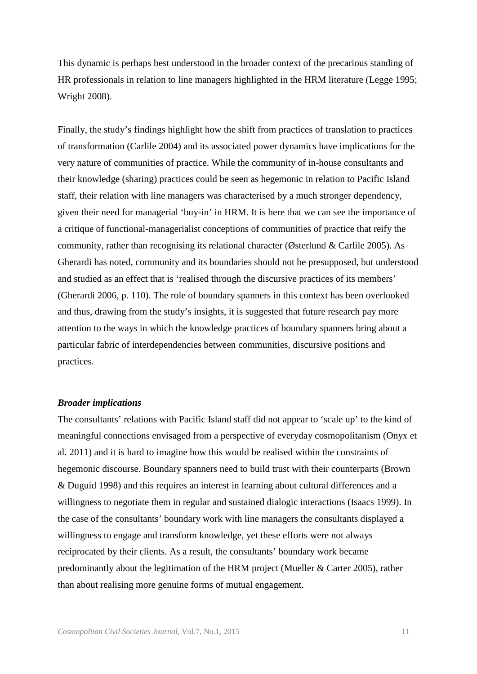This dynamic is perhaps best understood in the broader context of the precarious standing of HR professionals in relation to line managers highlighted in the HRM literature (Legge 1995; Wright 2008).

Finally, the study's findings highlight how the shift from practices of translation to practices of transformation (Carlile 2004) and its associated power dynamics have implications for the very nature of communities of practice. While the community of in-house consultants and their knowledge (sharing) practices could be seen as hegemonic in relation to Pacific Island staff, their relation with line managers was characterised by a much stronger dependency, given their need for managerial 'buy-in' in HRM. It is here that we can see the importance of a critique of functional-managerialist conceptions of communities of practice that reify the community, rather than recognising its relational character (Østerlund & Carlile 2005). As Gherardi has noted, community and its boundaries should not be presupposed, but understood and studied as an effect that is 'realised through the discursive practices of its members' (Gherardi 2006, p. 110). The role of boundary spanners in this context has been overlooked and thus, drawing from the study's insights, it is suggested that future research pay more attention to the ways in which the knowledge practices of boundary spanners bring about a particular fabric of interdependencies between communities, discursive positions and practices.

#### *Broader implications*

The consultants' relations with Pacific Island staff did not appear to 'scale up' to the kind of meaningful connections envisaged from a perspective of everyday cosmopolitanism (Onyx et al. 2011) and it is hard to imagine how this would be realised within the constraints of hegemonic discourse. Boundary spanners need to build trust with their counterparts (Brown & Duguid 1998) and this requires an interest in learning about cultural differences and a willingness to negotiate them in regular and sustained dialogic interactions (Isaacs 1999). In the case of the consultants' boundary work with line managers the consultants displayed a willingness to engage and transform knowledge, yet these efforts were not always reciprocated by their clients. As a result, the consultants' boundary work became predominantly about the legitimation of the HRM project (Mueller & Carter 2005), rather than about realising more genuine forms of mutual engagement.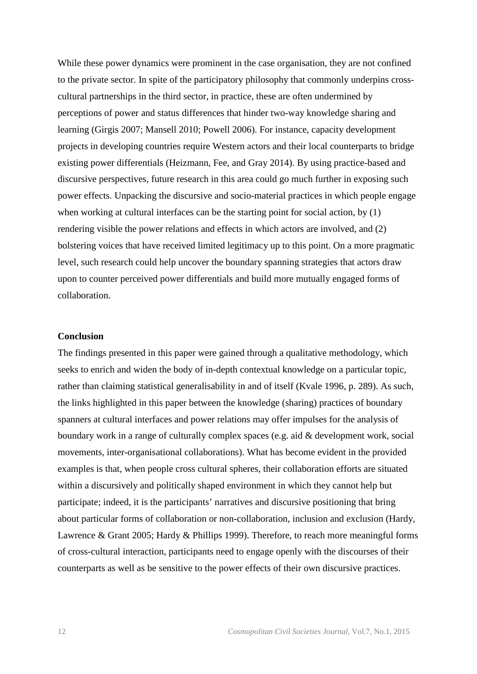While these power dynamics were prominent in the case organisation, they are not confined to the private sector. In spite of the participatory philosophy that commonly underpins crosscultural partnerships in the third sector, in practice, these are often undermined by perceptions of power and status differences that hinder two-way knowledge sharing and learning (Girgis 2007; Mansell 2010; Powell 2006). For instance, capacity development projects in developing countries require Western actors and their local counterparts to bridge existing power differentials (Heizmann, Fee, and Gray 2014). By using practice-based and discursive perspectives, future research in this area could go much further in exposing such power effects. Unpacking the discursive and socio-material practices in which people engage when working at cultural interfaces can be the starting point for social action, by (1) rendering visible the power relations and effects in which actors are involved, and (2) bolstering voices that have received limited legitimacy up to this point. On a more pragmatic level, such research could help uncover the boundary spanning strategies that actors draw upon to counter perceived power differentials and build more mutually engaged forms of collaboration.

#### **Conclusion**

The findings presented in this paper were gained through a qualitative methodology, which seeks to enrich and widen the body of in-depth contextual knowledge on a particular topic, rather than claiming statistical generalisability in and of itself (Kvale 1996, p. 289). As such, the links highlighted in this paper between the knowledge (sharing) practices of boundary spanners at cultural interfaces and power relations may offer impulses for the analysis of boundary work in a range of culturally complex spaces (e.g. aid & development work, social movements, inter-organisational collaborations). What has become evident in the provided examples is that, when people cross cultural spheres, their collaboration efforts are situated within a discursively and politically shaped environment in which they cannot help but participate; indeed, it is the participants' narratives and discursive positioning that bring about particular forms of collaboration or non-collaboration, inclusion and exclusion (Hardy, Lawrence & Grant 2005; Hardy & Phillips 1999). Therefore, to reach more meaningful forms of cross-cultural interaction, participants need to engage openly with the discourses of their counterparts as well as be sensitive to the power effects of their own discursive practices.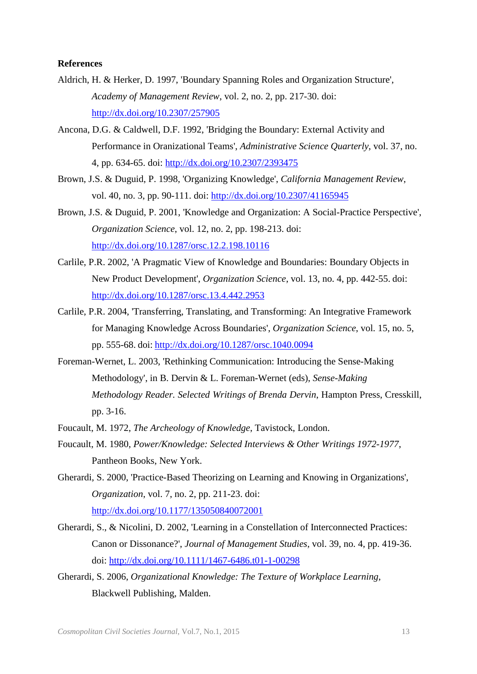#### **References**

- Aldrich, H. & Herker, D. 1997, 'Boundary Spanning Roles and Organization Structure', *Academy of Management Review*, vol. 2, no. 2, pp. 217-30. doi: <http://dx.doi.org/10.2307/257905>
- Ancona, D.G. & Caldwell, D.F. 1992, 'Bridging the Boundary: External Activity and Performance in Oranizational Teams', *Administrative Science Quarterly*, vol. 37, no. 4, pp. 634-65. doi:<http://dx.doi.org/10.2307/2393475>
- Brown, J.S. & Duguid, P. 1998, 'Organizing Knowledge', *California Management Review*, vol. 40, no. 3, pp. 90-111. doi:<http://dx.doi.org/10.2307/41165945>
- Brown, J.S. & Duguid, P. 2001, 'Knowledge and Organization: A Social-Practice Perspective', *Organization Science*, vol. 12, no. 2, pp. 198-213. doi: <http://dx.doi.org/10.1287/orsc.12.2.198.10116>
- Carlile, P.R. 2002, 'A Pragmatic View of Knowledge and Boundaries: Boundary Objects in New Product Development', *Organization Science*, vol. 13, no. 4, pp. 442-55. doi: <http://dx.doi.org/10.1287/orsc.13.4.442.2953>
- Carlile, P.R. 2004, 'Transferring, Translating, and Transforming: An Integrative Framework for Managing Knowledge Across Boundaries', *Organization Science*, vol. 15, no. 5, pp. 555-68. doi: <http://dx.doi.org/10.1287/orsc.1040.0094>
- Foreman-Wernet, L. 2003, 'Rethinking Communication: Introducing the Sense-Making Methodology', in B. Dervin & L. Foreman-Wernet (eds), *Sense-Making Methodology Reader. Selected Writings of Brenda Dervin*, Hampton Press, Cresskill, pp. 3-16.
- Foucault, M. 1972, *The Archeology of Knowledge*, Tavistock, London.
- Foucault, M. 1980, *Power/Knowledge: Selected Interviews & Other Writings 1972-1977*, Pantheon Books, New York.
- Gherardi, S. 2000, 'Practice-Based Theorizing on Learning and Knowing in Organizations', *Organization*, vol. 7, no. 2, pp. 211-23. doi: <http://dx.doi.org/10.1177/135050840072001>
- Gherardi, S., & Nicolini, D. 2002, 'Learning in a Constellation of Interconnected Practices: Canon or Dissonance?', *Journal of Management Studies*, vol. 39, no. 4, pp. 419-36. doi:<http://dx.doi.org/10.1111/1467-6486.t01-1-00298>
- Gherardi, S. 2006, *Organizational Knowledge: The Texture of Workplace Learning*, Blackwell Publishing, Malden.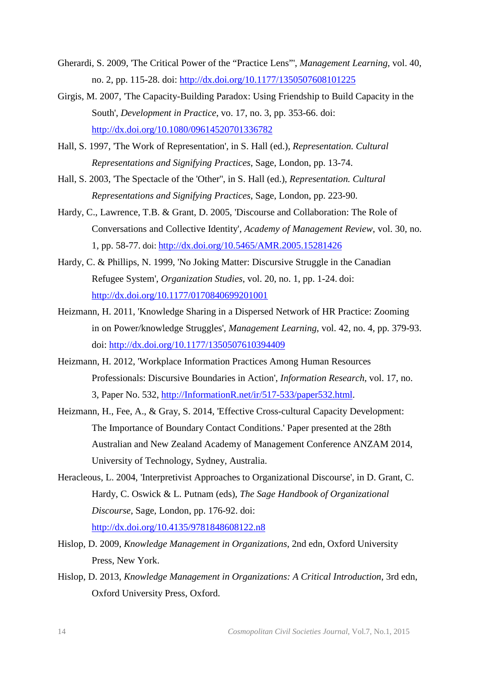- Gherardi, S. 2009, 'The Critical Power of the "Practice Lens"', *Management Learning*, vol. 40, no. 2, pp. 115-28. doi:<http://dx.doi.org/10.1177/1350507608101225>
- Girgis, M. 2007, 'The Capacity-Building Paradox: Using Friendship to Build Capacity in the South', *Development in Practice*, vo. 17, no. 3, pp. 353-66. doi: <http://dx.doi.org/10.1080/09614520701336782>
- Hall, S. 1997, 'The Work of Representation', in S. Hall (ed.), *Representation. Cultural Representations and Signifying Practices*, Sage, London, pp. 13-74.
- Hall, S. 2003, 'The Spectacle of the 'Other'', in S. Hall (ed.), *Representation. Cultural Representations and Signifying Practices*, Sage, London, pp. 223-90.
- Hardy, C., Lawrence, T.B. & Grant, D. 2005, 'Discourse and Collaboration: The Role of Conversations and Collective Identity', *Academy of Management Review*, vol. 30, no. 1, pp. 58-77. doi: <http://dx.doi.org/10.5465/AMR.2005.15281426>
- Hardy, C. & Phillips, N. 1999, 'No Joking Matter: Discursive Struggle in the Canadian Refugee System', *Organization Studies*, vol. 20, no. 1, pp. 1-24. doi: <http://dx.doi.org/10.1177/0170840699201001>
- Heizmann, H. 2011, 'Knowledge Sharing in a Dispersed Network of HR Practice: Zooming in on Power/knowledge Struggles', *Management Learning*, vol. 42, no. 4, pp. 379-93. doi:<http://dx.doi.org/10.1177/1350507610394409>
- Heizmann, H. 2012, 'Workplace Information Practices Among Human Resources Professionals: Discursive Boundaries in Action', *Information Research*, vol. 17, no. 3, Paper No. 532, [http://InformationR.net/ir/517-533/paper532.html.](http://informationr.net/ir/517-533/paper532.html)
- Heizmann, H., Fee, A., & Gray, S. 2014, 'Effective Cross-cultural Capacity Development: The Importance of Boundary Contact Conditions.' Paper presented at the 28th Australian and New Zealand Academy of Management Conference ANZAM 2014, University of Technology, Sydney, Australia.
- Heracleous, L. 2004, 'Interpretivist Approaches to Organizational Discourse', in D. Grant, C. Hardy, C. Oswick & L. Putnam (eds), *The Sage Handbook of Organizational Discourse*, Sage, London, pp. 176-92. doi: <http://dx.doi.org/10.4135/9781848608122.n8>
- Hislop, D. 2009, *Knowledge Management in Organizations*, 2nd edn, Oxford University Press, New York.
- Hislop, D. 2013, *Knowledge Management in Organizations: A Critical Introduction*, 3rd edn, Oxford University Press, Oxford.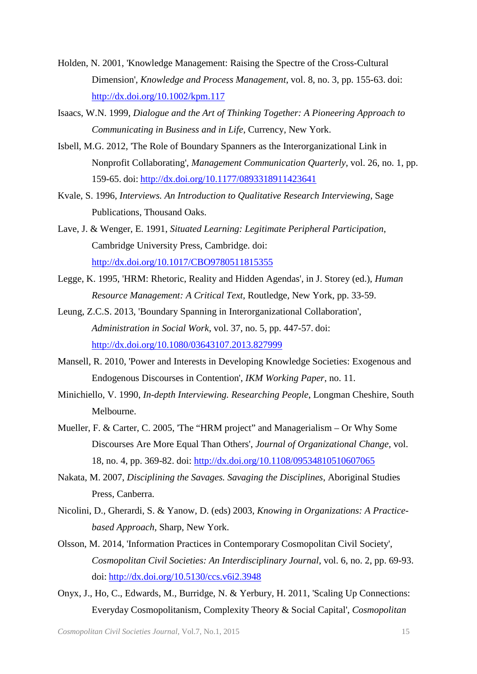- Holden, N. 2001, 'Knowledge Management: Raising the Spectre of the Cross-Cultural Dimension', *Knowledge and Process Management*, vol. 8, no. 3, pp. 155-63. doi: <http://dx.doi.org/10.1002/kpm.117>
- Isaacs, W.N. 1999, *Dialogue and the Art of Thinking Together: A Pioneering Approach to Communicating in Business and in Life*, Currency, New York.
- Isbell, M.G. 2012, 'The Role of Boundary Spanners as the Interorganizational Link in Nonprofit Collaborating', *Management Communication Quarterly*, vol. 26, no. 1, pp. 159-65. doi: <http://dx.doi.org/10.1177/0893318911423641>
- Kvale, S. 1996, *Interviews. An Introduction to Qualitative Research Interviewing*, Sage Publications, Thousand Oaks.
- Lave, J. & Wenger, E. 1991, *Situated Learning: Legitimate Peripheral Participation*, Cambridge University Press, Cambridge. doi: <http://dx.doi.org/10.1017/CBO9780511815355>
- Legge, K. 1995, 'HRM: Rhetoric, Reality and Hidden Agendas', in J. Storey (ed.), *Human Resource Management: A Critical Text*, Routledge, New York, pp. 33-59.
- Leung, Z.C.S. 2013, 'Boundary Spanning in Interorganizational Collaboration', *Administration in Social Work*, vol. 37, no. 5, pp. 447-57. doi: <http://dx.doi.org/10.1080/03643107.2013.827999>
- Mansell, R. 2010, 'Power and Interests in Developing Knowledge Societies: Exogenous and Endogenous Discourses in Contention', *IKM Working Paper*, no. 11.
- Minichiello, V. 1990, *In-depth Interviewing. Researching People*, Longman Cheshire, South Melbourne.
- Mueller, F. & Carter, C. 2005, 'The "HRM project" and Managerialism Or Why Some Discourses Are More Equal Than Others', *Journal of Organizational Change*, vol. 18, no. 4, pp. 369-82. doi:<http://dx.doi.org/10.1108/09534810510607065>
- Nakata, M. 2007, *Disciplining the Savages. Savaging the Disciplines*, Aboriginal Studies Press, Canberra.
- Nicolini, D., Gherardi, S. & Yanow, D. (eds) 2003, *Knowing in Organizations: A Practicebased Approach*, Sharp, New York.
- Olsson, M. 2014, 'Information Practices in Contemporary Cosmopolitan Civil Society', *Cosmopolitan Civil Societies: An Interdisciplinary Journal*, vol. 6, no. 2, pp. 69-93. doi: <http://dx.doi.org/10.5130/ccs.v6i2.3948>
- Onyx, J., Ho, C., Edwards, M., Burridge, N. & Yerbury, H. 2011, 'Scaling Up Connections: Everyday Cosmopolitanism, Complexity Theory & Social Capital', *Cosmopolitan*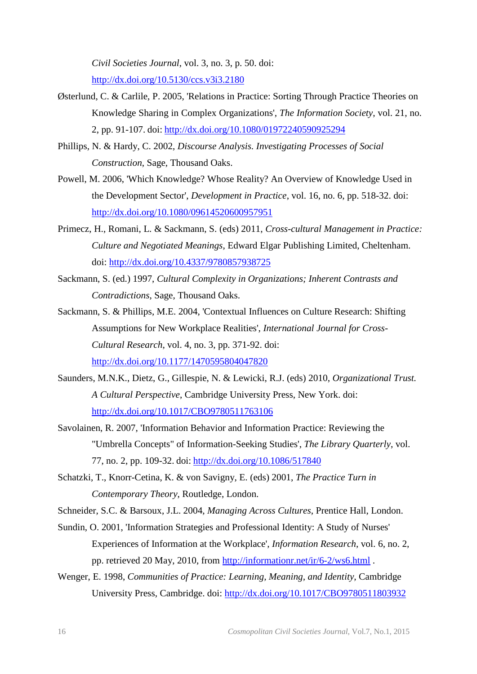*Civil Societies Journal*, vol. 3, no. 3, p. 50. doi: <http://dx.doi.org/10.5130/ccs.v3i3.2180>

- Østerlund, C. & Carlile, P. 2005, 'Relations in Practice: Sorting Through Practice Theories on Knowledge Sharing in Complex Organizations', *The Information Society*, vol. 21, no. 2, pp. 91-107. doi: <http://dx.doi.org/10.1080/01972240590925294>
- Phillips, N. & Hardy, C. 2002, *Discourse Analysis. Investigating Processes of Social Construction*, Sage, Thousand Oaks.
- Powell, M. 2006, 'Which Knowledge? Whose Reality? An Overview of Knowledge Used in the Development Sector', *Development in Practice*, vol. 16, no. 6, pp. 518-32. doi: <http://dx.doi.org/10.1080/09614520600957951>
- Primecz, H., Romani, L. & Sackmann, S. (eds) 2011, *Cross-cultural Management in Practice: Culture and Negotiated Meanings*, Edward Elgar Publishing Limited, Cheltenham. doi:<http://dx.doi.org/10.4337/9780857938725>
- Sackmann, S. (ed.) 1997, *Cultural Complexity in Organizations; Inherent Contrasts and Contradictions*, Sage, Thousand Oaks.
- Sackmann, S. & Phillips, M.E. 2004, 'Contextual Influences on Culture Research: Shifting Assumptions for New Workplace Realities', *International Journal for Cross-Cultural Research*, vol. 4, no. 3, pp. 371-92. doi: <http://dx.doi.org/10.1177/1470595804047820>
- Saunders, M.N.K., Dietz, G., Gillespie, N. & Lewicki, R.J. (eds) 2010, *Organizational Trust. A Cultural Perspective*, Cambridge University Press, New York. doi: <http://dx.doi.org/10.1017/CBO9780511763106>
- Savolainen, R. 2007, 'Information Behavior and Information Practice: Reviewing the "Umbrella Concepts" of Information-Seeking Studies', *The Library Quarterly*, vol. 77, no. 2, pp. 109-32. doi: <http://dx.doi.org/10.1086/517840>
- Schatzki, T., Knorr-Cetina, K. & von Savigny, E. (eds) 2001, *The Practice Turn in Contemporary Theory*, Routledge, London.
- Schneider, S.C. & Barsoux, J.L. 2004, *Managing Across Cultures*, Prentice Hall, London.
- Sundin, O. 2001, 'Information Strategies and Professional Identity: A Study of Nurses' Experiences of Information at the Workplace', *Information Research*, vol. 6, no. 2, pp. retrieved 20 May, 2010, from<http://informationr.net/ir/6-2/ws6.html> .
- Wenger, E. 1998, *Communities of Practice: Learning, Meaning, and Identity*, Cambridge University Press, Cambridge. doi:<http://dx.doi.org/10.1017/CBO9780511803932>